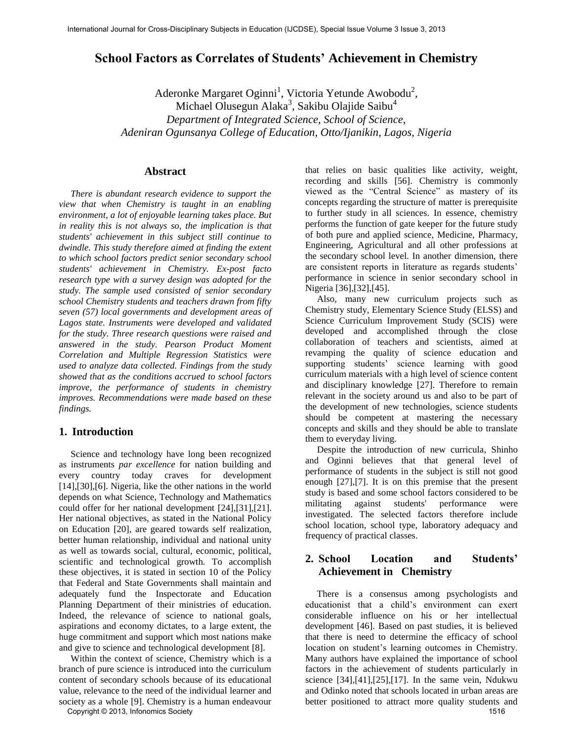# **School Factors as Correlates of Students' Achievement in Chemistry**

Aderonke Margaret Oginni<sup>1</sup>, Victoria Yetunde Awobodu<sup>2</sup>, Michael Olusegun Alaka<sup>3</sup>, Sakibu Olajide Saibu<sup>4</sup> *Department of Integrated Science, School of Science, Adeniran Ogunsanya College of Education, Otto/Ijanikin, Lagos, Nigeria* 

## **Abstract**

 *There is abundant research evidence to support the view that when Chemistry is taught in an enabling environment, a lot of enjoyable learning takes place. But in reality this is not always so, the implication is that students' achievement in this subject still continue to dwindle. This study therefore aimed at finding the extent to which school factors predict senior secondary school students' achievement in Chemistry. Ex-post facto research type with a survey design was adopted for the study. The sample used consisted of senior secondary school Chemistry students and teachers drawn from fifty seven (57) local governments and development areas of Lagos state. Instruments were developed and validated for the study. Three research questions were raised and answered in the study. Pearson Product Moment Correlation and Multiple Regression Statistics were used to analyze data collected. Findings from the study showed that as the conditions accrued to school factors improve, the performance of students in chemistry improves. Recommendations were made based on these findings.* 

### **1. Introduction**

 Science and technology have long been recognized as instruments *par excellence* for nation building and every country today craves for development [14],[30],[6]. Nigeria, like the other nations in the world depends on what Science, Technology and Mathematics could offer for her national development [24],[31],[21]. Her national objectives, as stated in the National Policy on Education [20], are geared towards self realization, better human relationship, individual and national unity as well as towards social, cultural, economic, political, scientific and technological growth. To accomplish these objectives, it is stated in section 10 of the Policy that Federal and State Governments shall maintain and adequately fund the Inspectorate and Education Planning Department of their ministries of education. Indeed, the relevance of science to national goals, aspirations and economy dictates, to a large extent, the huge commitment and support which most nations make and give to science and technological development [8].

 Within the context of science, Chemistry which is a branch of pure science is introduced into the curriculum content of secondary schools because of its educational value, relevance to the need of the individual learner and society as a whole [9]. Chemistry is a human endeavour Copyright © 2013, Infonomics Society 1516

that relies on basic qualities like activity, weight, recording and skills [56]. Chemistry is commonly viewed as the "Central Science" as mastery of its concepts regarding the structure of matter is prerequisite to further study in all sciences. In essence, chemistry performs the function of gate keeper for the future study of both pure and applied science, Medicine, Pharmacy, Engineering, Agricultural and all other professions at the secondary school level. In another dimension, there are consistent reports in literature as regards students' performance in science in senior secondary school in Nigeria [36],[32],[45].

 Also, many new curriculum projects such as Chemistry study, Elementary Science Study (ELSS) and Science Curriculum Improvement Study (SCIS) were developed and accomplished through the close collaboration of teachers and scientists, aimed at revamping the quality of science education and supporting students' science learning with good curriculum materials with a high level of science content and disciplinary knowledge [27]. Therefore to remain relevant in the society around us and also to be part of the development of new technologies, science students should be competent at mastering the necessary concepts and skills and they should be able to translate them to everyday living.

 Despite the introduction of new curricula, Shinho and Oginni believes that that general level of performance of students in the subject is still not good enough [27],[7]. It is on this premise that the present study is based and some school factors considered to be militating against students' performance were investigated. The selected factors therefore include school location, school type, laboratory adequacy and frequency of practical classes.

# **2. School Location and Students' Achievement in Chemistry**

 There is a consensus among psychologists and educationist that a child's environment can exert considerable influence on his or her intellectual development [46]. Based on past studies, it is believed that there is need to determine the efficacy of school location on student's learning outcomes in Chemistry. Many authors have explained the importance of school factors in the achievement of students particularly in science  $[34]$ , $[41]$ , $[25]$ , $[17]$ . In the same vein, Ndukwu and Odinko noted that schools located in urban areas are better positioned to attract more quality students and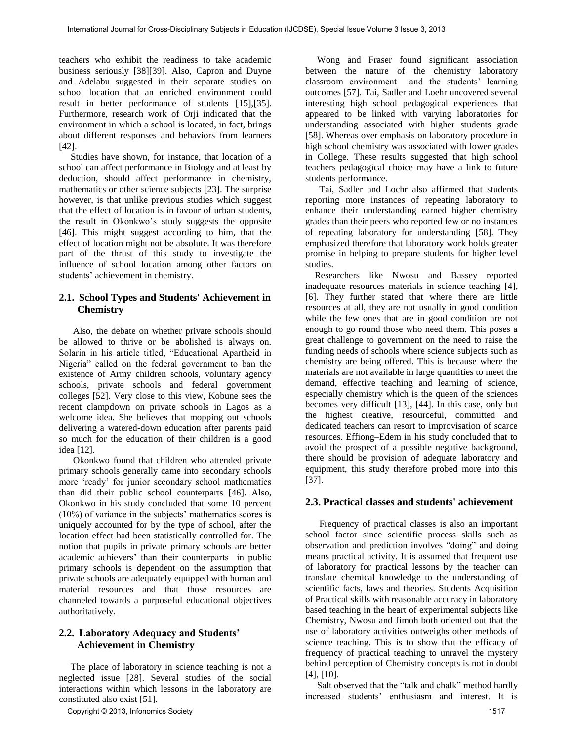teachers who exhibit the readiness to take academic business seriously [38][39]. Also, Capron and Duyne and Adelabu suggested in their separate studies on school location that an enriched environment could result in better performance of students [15],[35]. Furthermore, research work of Orji indicated that the environment in which a school is located, in fact, brings about different responses and behaviors from learners [42].

 Studies have shown, for instance, that location of a school can affect performance in Biology and at least by deduction, should affect performance in chemistry, mathematics or other science subjects [23]. The surprise however, is that unlike previous studies which suggest that the effect of location is in favour of urban students, the result in Okonkwo's study suggests the opposite [46]. This might suggest according to him, that the effect of location might not be absolute. It was therefore part of the thrust of this study to investigate the influence of school location among other factors on students' achievement in chemistry.

# **2.1. School Types and Students' Achievement in Chemistry**

 Also, the debate on whether private schools should be allowed to thrive or be abolished is always on. Solarin in his article titled, "Educational Apartheid in Nigeria" called on the federal government to ban the existence of Army children schools, voluntary agency schools, private schools and federal government colleges [52]. Very close to this view, Kobune sees the recent clampdown on private schools in Lagos as a welcome idea. She believes that mopping out schools delivering a watered-down education after parents paid so much for the education of their children is a good idea [12].

 Okonkwo found that children who attended private primary schools generally came into secondary schools more 'ready' for junior secondary school mathematics than did their public school counterparts [46]. Also, Okonkwo in his study concluded that some 10 percent (10%) of variance in the subjects' mathematics scores is uniquely accounted for by the type of school, after the location effect had been statistically controlled for. The notion that pupils in private primary schools are better academic achievers' than their counterparts in public primary schools is dependent on the assumption that private schools are adequately equipped with human and material resources and that those resources are channeled towards a purposeful educational objectives authoritatively.

# **2.2. Laboratory Adequacy and Students' Achievement in Chemistry**

 The place of laboratory in science teaching is not a neglected issue [28]. Several studies of the social interactions within which lessons in the laboratory are constituted also exist [51].

Copyright © 2013, Infonomics Society 1517

 Wong and Fraser found significant association between the nature of the chemistry laboratory classroom environment and the students' learning outcomes [57]. Tai, Sadler and Loehr uncovered several interesting high school pedagogical experiences that appeared to be linked with varying laboratories for understanding associated with higher students grade [58]. Whereas over emphasis on laboratory procedure in high school chemistry was associated with lower grades in College. These results suggested that high school teachers pedagogical choice may have a link to future students performance.

 Tai, Sadler and Lochr also affirmed that students reporting more instances of repeating laboratory to enhance their understanding earned higher chemistry grades than their peers who reported few or no instances of repeating laboratory for understanding [58]. They emphasized therefore that laboratory work holds greater promise in helping to prepare students for higher level studies.

 Researchers like Nwosu and Bassey reported inadequate resources materials in science teaching [4], [6]. They further stated that where there are little resources at all, they are not usually in good condition while the few ones that are in good condition are not enough to go round those who need them. This poses a great challenge to government on the need to raise the funding needs of schools where science subjects such as chemistry are being offered. This is because where the materials are not available in large quantities to meet the demand, effective teaching and learning of science, especially chemistry which is the queen of the sciences becomes very difficult [13], [44]. In this case, only but the highest creative, resourceful, committed and dedicated teachers can resort to improvisation of scarce resources. Effiong–Edem in his study concluded that to avoid the prospect of a possible negative background, there should be provision of adequate laboratory and equipment, this study therefore probed more into this [37].

## **2.3. Practical classes and students' achievement**

 Frequency of practical classes is also an important school factor since scientific process skills such as observation and prediction involves "doing" and doing means practical activity. It is assumed that frequent use of laboratory for practical lessons by the teacher can translate chemical knowledge to the understanding of scientific facts, laws and theories. Students Acquisition of Practical skills with reasonable accuracy in laboratory based teaching in the heart of experimental subjects like Chemistry, Nwosu and Jimoh both oriented out that the use of laboratory activities outweighs other methods of science teaching. This is to show that the efficacy of frequency of practical teaching to unravel the mystery behind perception of Chemistry concepts is not in doubt [4], [10].

 Salt observed that the "talk and chalk" method hardly increased students' enthusiasm and interest. It is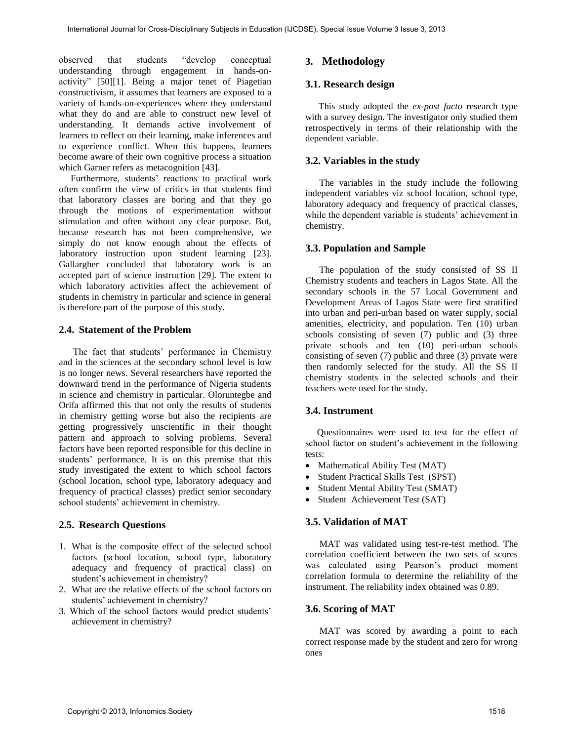observed that students "develop conceptual understanding through engagement in hands-onactivity" [50][1]. Being a major tenet of Piagetian constructivism, it assumes that learners are exposed to a variety of hands-on-experiences where they understand what they do and are able to construct new level of understanding. It demands active involvement of learners to reflect on their learning, make inferences and to experience conflict. When this happens, learners become aware of their own cognitive process a situation which Garner refers as metacognition [43].

 Furthermore, students' reactions to practical work often confirm the view of critics in that students find that laboratory classes are boring and that they go through the motions of experimentation without stimulation and often without any clear purpose. But, because research has not been comprehensive, we simply do not know enough about the effects of laboratory instruction upon student learning [23]. Gallargher concluded that laboratory work is an accepted part of science instruction [29]. The extent to which laboratory activities affect the achievement of students in chemistry in particular and science in general is therefore part of the purpose of this study.

# **2.4. Statement of the Problem**

 The fact that students' performance in Chemistry and in the sciences at the secondary school level is low is no longer news. Several researchers have reported the downward trend in the performance of Nigeria students in science and chemistry in particular. Oloruntegbe and Orifa affirmed this that not only the results of students in chemistry getting worse but also the recipients are getting progressively unscientific in their thought pattern and approach to solving problems. Several factors have been reported responsible for this decline in students' performance. It is on this premise that this study investigated the extent to which school factors (school location, school type, laboratory adequacy and frequency of practical classes) predict senior secondary school students' achievement in chemistry.

# **2.5. Research Questions**

- 1. What is the composite effect of the selected school factors (school location, school type, laboratory adequacy and frequency of practical class) on student's achievement in chemistry?
- 2. What are the relative effects of the school factors on students' achievement in chemistry?
- 3. Which of the school factors would predict students' achievement in chemistry?

# **3. Methodology**

# **3.1. Research design**

This study adopted the *ex-post facto* research type with a survey design. The investigator only studied them retrospectively in terms of their relationship with the dependent variable.

# **3.2. Variables in the study**

 The variables in the study include the following independent variables viz school location, school type, laboratory adequacy and frequency of practical classes, while the dependent variable is students' achievement in chemistry.

# **3.3. Population and Sample**

 The population of the study consisted of SS II Chemistry students and teachers in Lagos State. All the secondary schools in the 57 Local Government and Development Areas of Lagos State were first stratified into urban and peri-urban based on water supply, social amenities, electricity, and population. Ten (10) urban schools consisting of seven (7) public and (3) three private schools and ten (10) peri-urban schools consisting of seven (7) public and three (3) private were then randomly selected for the study. All the SS II chemistry students in the selected schools and their teachers were used for the study.

## **3.4. Instrument**

 Questionnaires were used to test for the effect of school factor on student's achievement in the following tests:

- Mathematical Ability Test (MAT)
- Student Practical Skills Test (SPST)
- Student Mental Ability Test (SMAT)
- Student Achievement Test (SAT)

# **3.5. Validation of MAT**

 MAT was validated using test-re-test method. The correlation coefficient between the two sets of scores was calculated using Pearson's product moment correlation formula to determine the reliability of the instrument. The reliability index obtained was 0.89.

## **3.6. Scoring of MAT**

 MAT was scored by awarding a point to each correct response made by the student and zero for wrong ones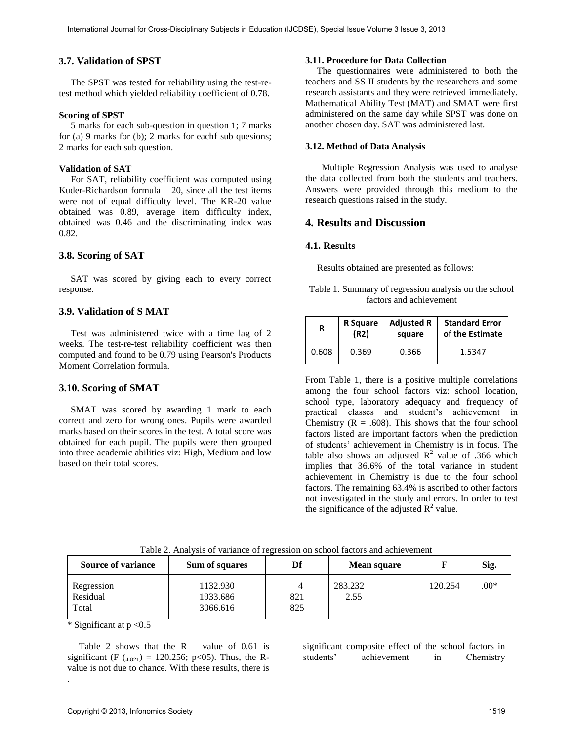### **3.7. Validation of SPST**

 The SPST was tested for reliability using the test-retest method which yielded reliability coefficient of 0.78.

#### **Scoring of SPST**

 5 marks for each sub-question in question 1; 7 marks for (a) 9 marks for (b); 2 marks for eachf sub quesions; 2 marks for each sub question.

### **Validation of SAT**

 For SAT, reliability coefficient was computed using Kuder-Richardson formula  $-20$ , since all the test items were not of equal difficulty level. The KR-20 value obtained was 0.89, average item difficulty index, obtained was 0.46 and the discriminating index was 0.82.

#### **3.8. Scoring of SAT**

 SAT was scored by giving each to every correct response.

### **3.9. Validation of S MAT**

 Test was administered twice with a time lag of 2 weeks. The test-re-test reliability coefficient was then computed and found to be 0.79 using Pearson's Products Moment Correlation formula.

### **3.10. Scoring of SMAT**

 SMAT was scored by awarding 1 mark to each correct and zero for wrong ones. Pupils were awarded marks based on their scores in the test. A total score was obtained for each pupil. The pupils were then grouped into three academic abilities viz: High, Medium and low based on their total scores.

#### **3.11. Procedure for Data Collection**

 The questionnaires were administered to both the teachers and SS II students by the researchers and some research assistants and they were retrieved immediately. Mathematical Ability Test (MAT) and SMAT were first administered on the same day while SPST was done on another chosen day. SAT was administered last.

#### **3.12. Method of Data Analysis**

 Multiple Regression Analysis was used to analyse the data collected from both the students and teachers. Answers were provided through this medium to the research questions raised in the study.

## **4. Results and Discussion**

#### **4.1. Results**

Results obtained are presented as follows:

Table 1. Summary of regression analysis on the school factors and achievement

| R     | R Square | <b>Adjusted R</b> | <b>Standard Error</b> |  |  |
|-------|----------|-------------------|-----------------------|--|--|
|       | (R2)     | square            | of the Estimate       |  |  |
| 0.608 | 0.369    | 0.366             | 1.5347                |  |  |

From Table 1, there is a positive multiple correlations among the four school factors viz: school location, school type, laboratory adequacy and frequency of practical classes and student's achievement in Chemistry ( $R = .608$ ). This shows that the four school factors listed are important factors when the prediction of students' achievement in Chemistry is in focus. The table also shows an adjusted  $\mathbb{R}^2$  value of .366 which implies that 36.6% of the total variance in student achievement in Chemistry is due to the four school factors. The remaining 63.4% is ascribed to other factors not investigated in the study and errors. In order to test the significance of the adjusted  $R^2$  value.

| <b>Source of variance</b>       | Sum of squares                   | Df         | <b>Mean square</b> |         | Sig.   |
|---------------------------------|----------------------------------|------------|--------------------|---------|--------|
| Regression<br>Residual<br>Total | 1132.930<br>1933.686<br>3066.616 | 821<br>825 | 283.232<br>2.55    | 120.254 | $.00*$ |

Table 2. Analysis of variance of regression on school factors and achievement

\* Significant at  $p < 0.5$ 

.

Table 2 shows that the  $R - value$  of 0.61 is significant (F  $(4.821) = 120.256$ ; p<05). Thus, the Rvalue is not due to chance. With these results, there is significant composite effect of the school factors in students' achievement in Chemistry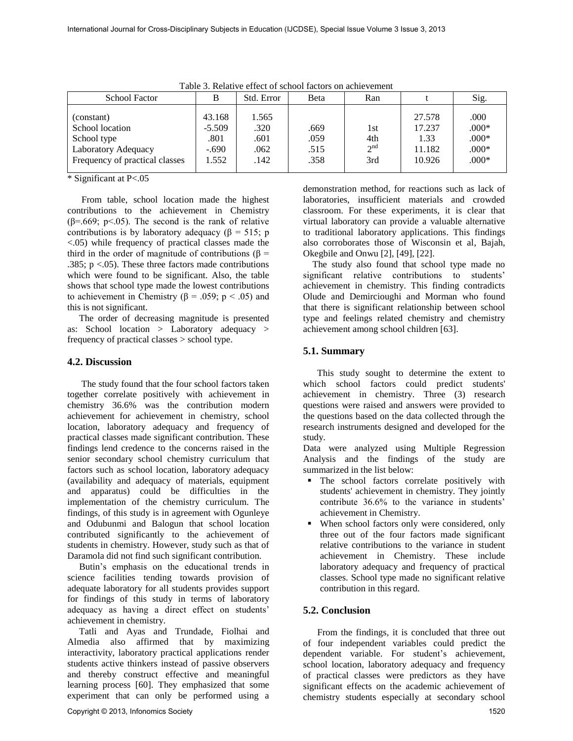| <b>School Factor</b>                                                                                       |                                                | Std. Error                            | Beta                         | Ran                                  |                                              | Sig.                                             |  |  |  |  |
|------------------------------------------------------------------------------------------------------------|------------------------------------------------|---------------------------------------|------------------------------|--------------------------------------|----------------------------------------------|--------------------------------------------------|--|--|--|--|
| (constant)<br>School location<br>School type<br>Laboratory Adequacy<br>Frequency of practical classes<br>. | 43.168<br>$-5.509$<br>.801<br>$-.690$<br>1.552 | 1.565<br>.320<br>.601<br>.062<br>.142 | .669<br>.059<br>.515<br>.358 | 1st<br>4th<br>2 <sup>nd</sup><br>3rd | 27.578<br>17.237<br>1.33<br>11.182<br>10.926 | .000<br>$.000*$<br>$.000*$<br>$.000*$<br>$.000*$ |  |  |  |  |

Table 3. Relative effect of school factors on achievement

\* Significant at P<.05

 From table, school location made the highest contributions to the achievement in Chemistry ( $\beta$ =.669; p<.05). The second is the rank of relative contributions is by laboratory adequacy ( $\beta$  = 515; p <.05) while frequency of practical classes made the third in the order of magnitude of contributions (β = .385;  $p < 0.05$ ). These three factors made contributions which were found to be significant. Also, the table shows that school type made the lowest contributions to achievement in Chemistry ( $β = .059$ ;  $p < .05$ ) and this is not significant.

 The order of decreasing magnitude is presented as: School location > Laboratory adequacy > frequency of practical classes > school type.

# **4.2. Discussion**

 The study found that the four school factors taken together correlate positively with achievement in chemistry 36.6% was the contribution modern achievement for achievement in chemistry, school location, laboratory adequacy and frequency of practical classes made significant contribution. These findings lend credence to the concerns raised in the senior secondary school chemistry curriculum that factors such as school location, laboratory adequacy (availability and adequacy of materials, equipment and apparatus) could be difficulties in the implementation of the chemistry curriculum. The findings, of this study is in agreement with Ogunleye and Odubunmi and Balogun that school location contributed significantly to the achievement of students in chemistry. However, study such as that of Daramola did not find such significant contribution.

 Butin's emphasis on the educational trends in science facilities tending towards provision of adequate laboratory for all students provides support for findings of this study in terms of laboratory adequacy as having a direct effect on students' achievement in chemistry.

 Tatli and Ayas and Trundade, Fiolhai and Almedia also affirmed that by maximizing interactivity, laboratory practical applications render students active thinkers instead of passive observers and thereby construct effective and meaningful learning process [60]. They emphasized that some experiment that can only be performed using a

demonstration method, for reactions such as lack of laboratories, insufficient materials and crowded classroom. For these experiments, it is clear that virtual laboratory can provide a valuable alternative to traditional laboratory applications. This findings also corroborates those of Wisconsin et al, Bajah, Okegbile and Onwu [2], [49], [22].

 The study also found that school type made no significant relative contributions to students' achievement in chemistry. This finding contradicts Olude and Demircioughi and Morman who found that there is significant relationship between school type and feelings related chemistry and chemistry achievement among school children [63].

# **5.1. Summary**

 This study sought to determine the extent to which school factors could predict students' achievement in chemistry. Three (3) research questions were raised and answers were provided to the questions based on the data collected through the research instruments designed and developed for the study.

Data were analyzed using Multiple Regression Analysis and the findings of the study are summarized in the list below:

- The school factors correlate positively with students' achievement in chemistry. They jointly contribute 36.6% to the variance in students' achievement in Chemistry.
- When school factors only were considered, only three out of the four factors made significant relative contributions to the variance in student achievement in Chemistry. These include laboratory adequacy and frequency of practical classes. School type made no significant relative contribution in this regard.

# **5.2. Conclusion**

 From the findings, it is concluded that three out of four independent variables could predict the dependent variable. For student's achievement, school location, laboratory adequacy and frequency of practical classes were predictors as they have significant effects on the academic achievement of chemistry students especially at secondary school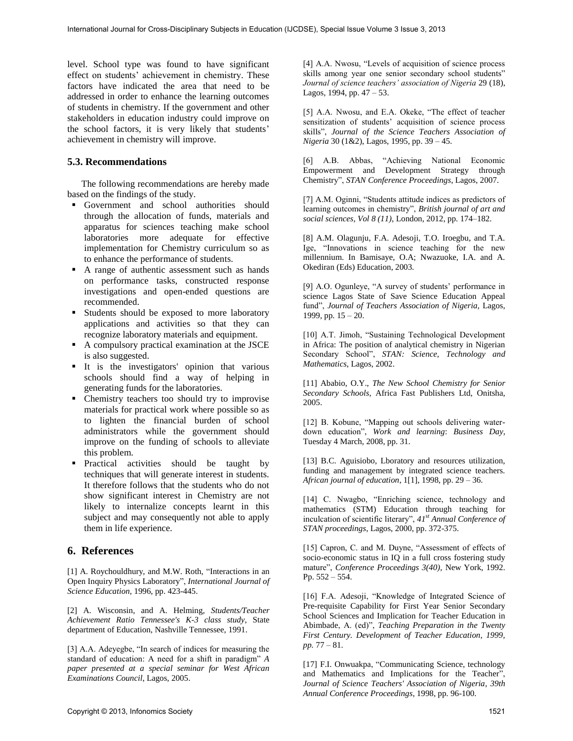level. School type was found to have significant effect on students' achievement in chemistry. These factors have indicated the area that need to be addressed in order to enhance the learning outcomes of students in chemistry. If the government and other stakeholders in education industry could improve on the school factors, it is very likely that students' achievement in chemistry will improve.

## **5.3. Recommendations**

 The following recommendations are hereby made based on the findings of the study.

- Government and school authorities should through the allocation of funds, materials and apparatus for sciences teaching make school laboratories more adequate for effective implementation for Chemistry curriculum so as to enhance the performance of students.
- A range of authentic assessment such as hands on performance tasks, constructed response investigations and open-ended questions are recommended.
- Students should be exposed to more laboratory applications and activities so that they can recognize laboratory materials and equipment.
- A compulsory practical examination at the JSCE is also suggested.
- It is the investigators' opinion that various schools should find a way of helping in generating funds for the laboratories.
- Chemistry teachers too should try to improvise materials for practical work where possible so as to lighten the financial burden of school administrators while the government should improve on the funding of schools to alleviate this problem.
- **Practical activities should be taught by** techniques that will generate interest in students. It therefore follows that the students who do not show significant interest in Chemistry are not likely to internalize concepts learnt in this subject and may consequently not able to apply them in life experience.

## **6. References**

[1] A. Roychouldhury, and M.W. Roth, "Interactions in an Open Inquiry Physics Laboratory", *International Journal of Science Education,* 1996, pp. 423-445.

[2] A. Wisconsin, and A. Helming, *Students/Teacher Achievement Ratio Tennessee's K-3 class study*, State department of Education, Nashville Tennessee, 1991.

[3] A.A. Adeyegbe, "In search of indices for measuring the standard of education: A need for a shift in paradigm" *A paper presented at a special seminar for West African Examinations Council*, Lagos, 2005.

[4] A.A. Nwosu, "Levels of acquisition of science process skills among year one senior secondary school students" *Journal of science teachers' association of Nigeria* 29 (18), Lagos, 1994, pp.  $47 - 53$ .

[5] A.A. Nwosu, and E.A. Okeke, "The effect of teacher sensitization of students' acquisition of science process skills", *Journal of the Science Teachers Association of Nigeria* 30 (1&2), Lagos, 1995, pp. 39 – 45.

[6] A.B. Abbas, "Achieving National Economic Empowerment and Development Strategy through Chemistry", *STAN Conference Proceedings*, Lagos, 2007.

[7] A.M. Oginni, "Students attitude indices as predictors of learning outcomes in chemistry", *British journal of art and social sciences, Vol 8 (11),* London, 2012, pp. 174–182.

[8] A.M. Olagunju, F.A. Adesoji, T.O. Iroegbu, and T.A. Ige, "Innovations in science teaching for the new millennium. In Bamisaye, O.A; Nwazuoke, I.A. and A. Okediran (Eds) Education, 2003.

[9] A.O. Ogunleye, "A survey of students' performance in science Lagos State of Save Science Education Appeal fund", *Journal of Teachers Association of Nigeria*, Lagos, 1999, pp.  $15 - 20$ .

[10] A.T. Jimoh, "Sustaining Technological Development in Africa: The position of analytical chemistry in Nigerian Secondary School", *STAN: Science, Technology and Mathematics*, Lagos, 2002.

[11] Ababio, O.Y., *The New School Chemistry for Senior Secondary Schools,* Africa Fast Publishers Ltd, Onitsha, 2005.

[12] B. Kobune, "Mapping out schools delivering waterdown education", *Work and learning*: *Business Day*, Tuesday 4 March, 2008, pp. 31.

[13] B.C. Aguisiobo, Lboratory and resources utilization, funding and management by integrated science teachers. *African journal of education*, 1[1], 1998, pp. 29 – 36.

[14] C. Nwagbo, "Enriching science, technology and mathematics (STM) Education through teaching for inculcation of scientific literary", *41st Annual Conference of STAN proceedings*, Lagos, 2000, pp. 372-375.

[15] Capron, C. and M. Duyne, "Assessment of effects of socio-economic status in IQ in a full cross fostering study mature", *Conference Proceedings 3(40),* New York, 1992. Pp. 552 – 554.

[16] F.A. Adesoji, "Knowledge of Integrated Science of Pre-requisite Capability for First Year Senior Secondary School Sciences and Implication for Teacher Education in Abimbade, A. (ed)", *Teaching Preparation in the Twenty First Century. Development of Teacher Education, 1999, pp.* 77 – 81.

[17] F.I. Onwuakpa, "Communicating Science, technology and Mathematics and Implications for the Teacher", *Journal of Science Teachers' Association of Nigeria, 39th Annual Conference Proceedings*, 1998, pp. 96-100.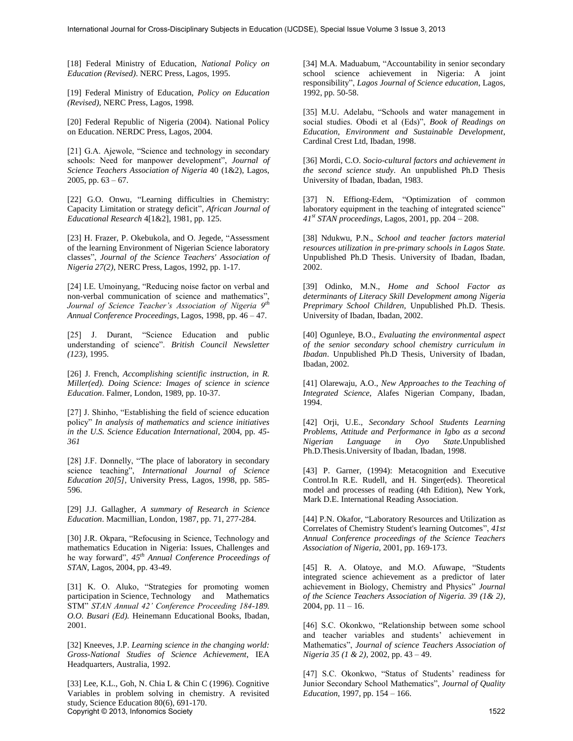[18] Federal Ministry of Education, *National Policy on Education (Revised)*. NERC Press, Lagos, 1995.

[19] Federal Ministry of Education, *Policy on Education (Revised),* NERC Press, Lagos, 1998.

[20] Federal Republic of Nigeria (2004). National Policy on Education. NERDC Press, Lagos, 2004.

[21] G.A. Ajewole, "Science and technology in secondary schools: Need for manpower development", *Journal of Science Teachers Association of Nigeria* 40 (1&2), Lagos, 2005, pp.  $63 - 67$ .

[22] G.O. Onwu, "Learning difficulties in Chemistry: Capacity Limitation or strategy deficit", *African Journal of Educational Research* 4[1&2], 1981, pp. 125.

[23] H. Frazer, P. Okebukola, and O. Jegede, "Assessment of the learning Environment of Nigerian Science laboratory classes", *Journal of the Science Teachers' Association of Nigeria 27(2)*, NERC Press, Lagos, 1992, pp. 1-17.

[24] I.E. Umoinyang, "Reducing noise factor on verbal and non-verbal communication of science and mathematics", *Journal of Science Teacher's Association of Nigeria 9th Annual Conference Proceedings,* Lagos, 1998, pp. 46 – 47.

[25] J. Durant, "Science Education and public understanding of science". *British Council Newsletter (123),* 1995.

[26] J. French, *Accomplishing scientific instruction, in R. Miller(ed). Doing Science: Images of science in science Education*. Falmer, London, 1989, pp. 10-37.

[27] J. Shinho, "Establishing the field of science education policy" *In analysis of mathematics and science initiatives in the U.S. Science Education International*, 2004, pp. *45- 361*

[28] J.F. Donnelly, "The place of laboratory in secondary science teaching", *International Journal of Science Education 20[5],* University Press, Lagos, 1998, pp. 585- 596.

[29] J.J. Gallagher, *A summary of Research in Science Education*. Macmillian, London, 1987, pp. 71, 277-284.

[30] J.R. Okpara, "Refocusing in Science, Technology and mathematics Education in Nigeria: Issues, Challenges and he way forward", *45th Annual Conference Proceedings of STAN,* Lagos, 2004, pp. 43-49.

[31] K. O. Aluko, "Strategies for promoting women participation in Science, Technology and Mathematics STM" *STAN Annual 42' Conference Proceeding 184-189. O.O. Busari (Ed).* Heinemann Educational Books, Ibadan, 2001.

[32] Kneeves, J.P. *Learning science in the changing world: Gross-National Studies of Science Achievement*, IEA Headquarters, Australia, 1992.

[33] Lee, K.L., Goh, N. Chia L & Chin C (1996). Cognitive Variables in problem solving in chemistry. A revisited study, Science Education 80(6), 691-170. Copyright © 2013, Infonomics Society 1522

[34] M.A. Maduabum, "Accountability in senior secondary school science achievement in Nigeria: A joint responsibility", *Lagos Journal of Science education*, Lagos, 1992, pp. 50-58.

[35] M.U. Adelabu, "Schools and water management in social studies. Obodi et al (Eds)", *Book of Readings on Education, Environment and Sustainable Development*, Cardinal Crest Ltd, Ibadan, 1998.

[36] Mordi, C.O. *Socio-cultural factors and achievement in the second science study*. An unpublished Ph.D Thesis University of Ibadan, Ibadan, 1983.

[37] N. Effiong-Edem, "Optimization of common laboratory equipment in the teaching of integrated science" *41st STAN proceedings*, Lagos, 2001, pp. 204 – 208.

[38] Ndukwu, P.N., *School and teacher factors material resources utilization in pre-primary schools in Lagos State.* Unpublished Ph.D Thesis. University of Ibadan, Ibadan, 2002.

[39] Odinko, M.N., *Home and School Factor as determinants of Literacy Skill Development among Nigeria Preprimary School Children*, Unpublished Ph.D. Thesis. University of Ibadan, Ibadan, 2002.

[40] Ogunleye, B.O., *Evaluating the environmental aspect of the senior secondary school chemistry curriculum in Ibadan*. Unpublished Ph.D Thesis, University of Ibadan, Ibadan, 2002.

[41] Olarewaju, A.O., *New Approaches to the Teaching of Integrated Science,* Alafes Nigerian Company, Ibadan, 1994.

[42] Orji, U.E., *Secondary School Students Learning Problems, Attitude and Performance in Igbo as a second Nigerian Language in Oyo State*.Unpublished Ph.D.Thesis.University of Ibadan, Ibadan, 1998.

[43] P. Garner, (1994): Metacognition and Executive Control.In R.E. Rudell, and H. Singer(eds). Theoretical model and processes of reading (4th Edition), New York, Mark D.E. International Reading Association.

[44] P.N. Okafor, "Laboratory Resources and Utilization as Correlates of Chemistry Student's learning Outcomes", *41st Annual Conference proceedings of the Science Teachers Association of Nigeria,* 2001, pp. 169-173.

[45] R. A. Olatoye, and M.O. Afuwape, "Students integrated science achievement as a predictor of later achievement in Biology, Chemistry and Physics" *Journal of the Science Teachers Association of Nigeria. 39 (1& 2)*, 2004, pp.  $11 - 16$ .

[46] S.C. Okonkwo, "Relationship between some school and teacher variables and students' achievement in Mathematics", *Journal of science Teachers Association of Nigeria 35 (1 & 2),* 2002, pp. 43 – 49.

[47] S.C. Okonkwo, "Status of Students' readiness for Junior Secondary School Mathematics", *Journal of Quality Education*, 1997, pp. 154 – 166.